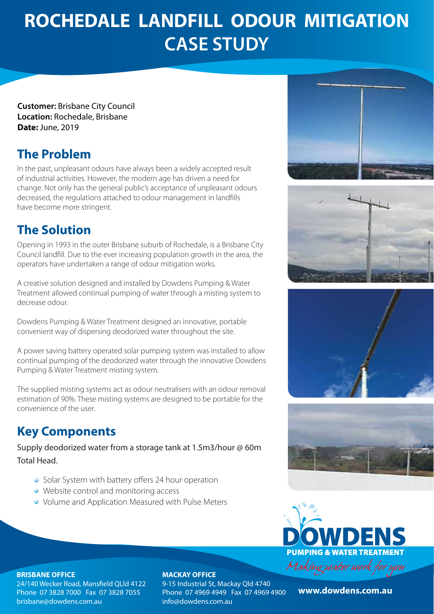# **ROCHEDALE LANDFILL ODOUR MITIGATION CASE STUDY**

**Customer:** Brisbane City Council **Location:** Rochedale, Brisbane **Date:** June, 2019

## **The Problem**

In the past, unpleasant odours have always been a widely accepted result of industrial activities. However, the modern age has driven a need for change. Not only has the general public's acceptance of unpleasant odours decreased, the regulations attached to odour management in landfills have become more stringent.

# **The Solution**

Opening in 1993 in the outer Brisbane suburb of Rochedale, is a Brisbane City Council landfill. Due to the ever increasing population growth in the area, the operators have undertaken a range of odour mitigation works.

A creative solution designed and installed by Dowdens Pumping & Water Treatment allowed continual pumping of water through a misting system to decrease odour.

Dowdens Pumping & Water Treatment designed an innovative, portable convenient way of dispersing deodorized water throughout the site.

A power saving battery operated solar pumping system was installed to allow continual pumping of the deodorized water through the innovative Dowdens Pumping & Water Treatment misting system.

The supplied misting systems act as odour neutralisers with an odour removal estimation of 90%. These misting systems are designed to be portable for the convenience of the user.

## **Key Components**

Supply deodorized water from a storage tank at 1.5m3/hour @ 60m Total Head.

- Solar System with battery offers 24 hour operation
- Website control and monitoring access
- Volume and Application Measured with Pulse Meters











### **BRISBANE OFFICE**

24/140 Wecker Road, Mansfield OLld 4122 Phone 07 3828 7000 Fax 07 3828 7055 brisbane@dowdens.com.au

### **MACKAY OFFICE**

9-15 Industrial St, Mackay Qld 4740 Phone 07 4969 4949 Fax 07 4969 4900 info@dowdens.com.au

**www.dowdens.com.au www.dowdens.com.au**